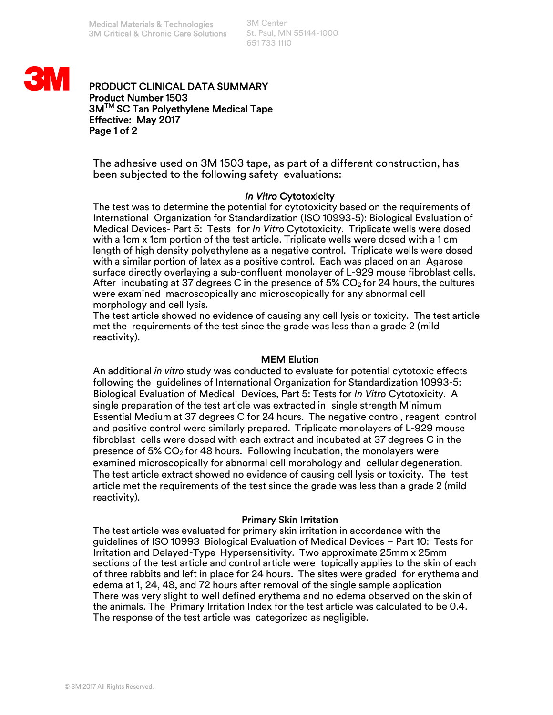3M Center St. Paul, MN 55144-1000 651 733 1110



PRODUCT CLINICAL DATA SUMMARY Product Number 1503 3MTM SC Tan Polyethylene Medical Tape Effective: May 2017 Page 1 of 2

The adhesive used on 3M 1503 tape, as part of a different construction, has been subjected to the following safety evaluations:

## *In Vitro* Cytotoxicity

The test was to determine the potential for cytotoxicity based on the requirements of International Organization for Standardization (ISO 10993-5): Biological Evaluation of Medical Devices- Part 5: Tests for *In Vitro* Cytotoxicity. Triplicate wells were dosed with a 1cm x 1cm portion of the test article. Triplicate wells were dosed with a 1 cm length of high density polyethylene as a negative control. Triplicate wells were dosed with a similar portion of latex as a positive control. Each was placed on an Agarose surface directly overlaying a sub-confluent monolayer of L-929 mouse fibroblast cells. After incubating at 37 degrees C in the presence of 5%  $CO<sub>2</sub>$  for 24 hours, the cultures were examined macroscopically and microscopically for any abnormal cell morphology and cell lysis.

The test article showed no evidence of causing any cell lysis or toxicity. The test article met the requirements of the test since the grade was less than a grade 2 (mild reactivity).

## MEM Elution

An additional *in vitro* study was conducted to evaluate for potential cytotoxic effects following the guidelines of International Organization for Standardization 10993-5: Biological Evaluation of Medical Devices, Part 5: Tests for *In Vitro* Cytotoxicity. A single preparation of the test article was extracted in single strength Minimum Essential Medium at 37 degrees C for 24 hours. The negative control, reagent control and positive control were similarly prepared. Triplicate monolayers of L-929 mouse fibroblast cells were dosed with each extract and incubated at 37 degrees C in the presence of  $5\%$  CO<sub>2</sub> for 48 hours. Following incubation, the monolayers were examined microscopically for abnormal cell morphology and cellular degeneration. The test article extract showed no evidence of causing cell lysis or toxicity. The test article met the requirements of the test since the grade was less than a grade 2 (mild reactivity).

## Primary Skin Irritation

The test article was evaluated for primary skin irritation in accordance with the guidelines of ISO 10993 Biological Evaluation of Medical Devices – Part 10: Tests for Irritation and Delayed-Type Hypersensitivity. Two approximate 25mm x 25mm sections of the test article and control article were topically applies to the skin of each of three rabbits and left in place for 24 hours. The sites were graded for erythema and edema at 1, 24, 48, and 72 hours after removal of the single sample application There was very slight to well defined erythema and no edema observed on the skin of the animals. The Primary Irritation Index for the test article was calculated to be 0.4. The response of the test article was categorized as negligible.